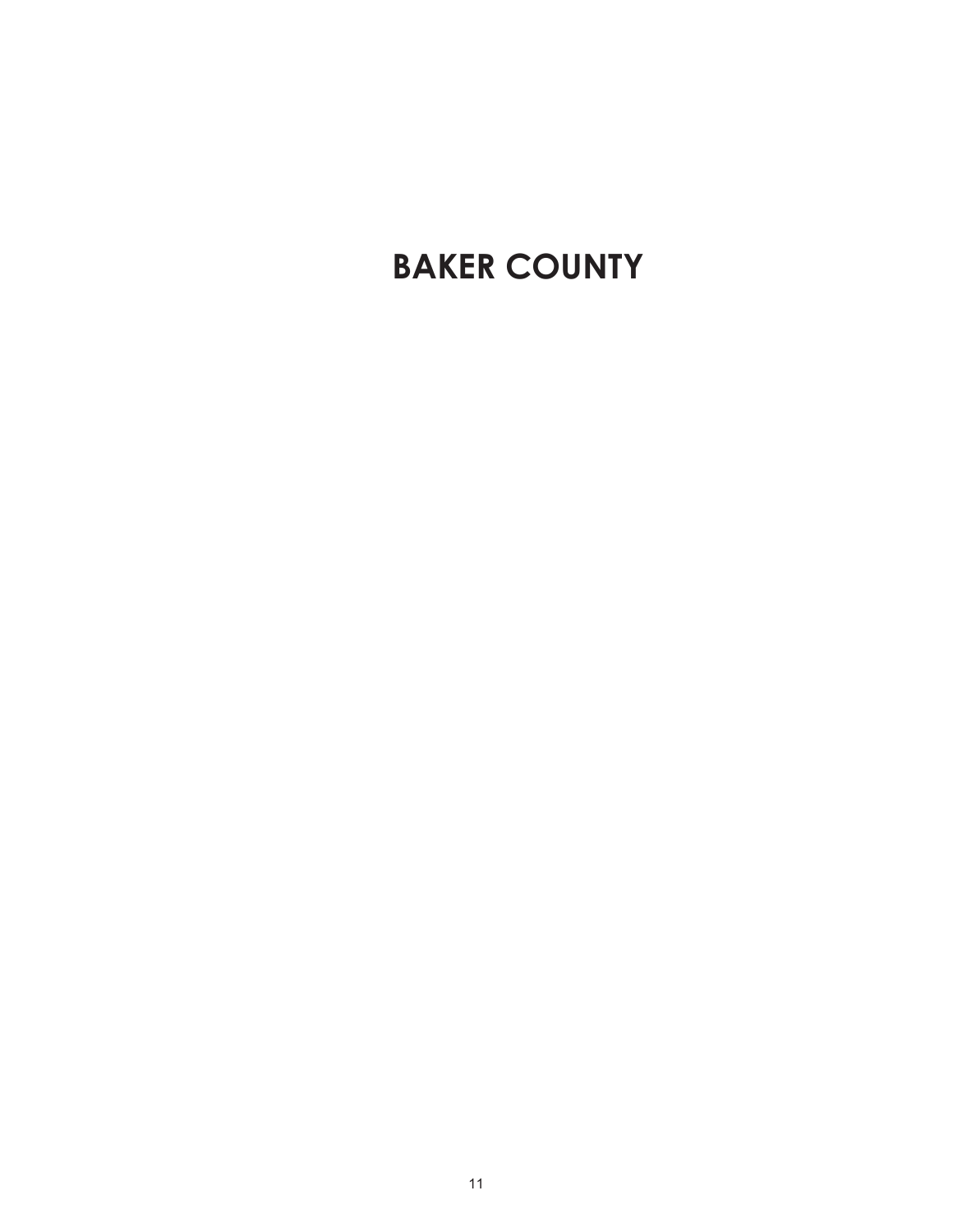# **BAKER COUNTY**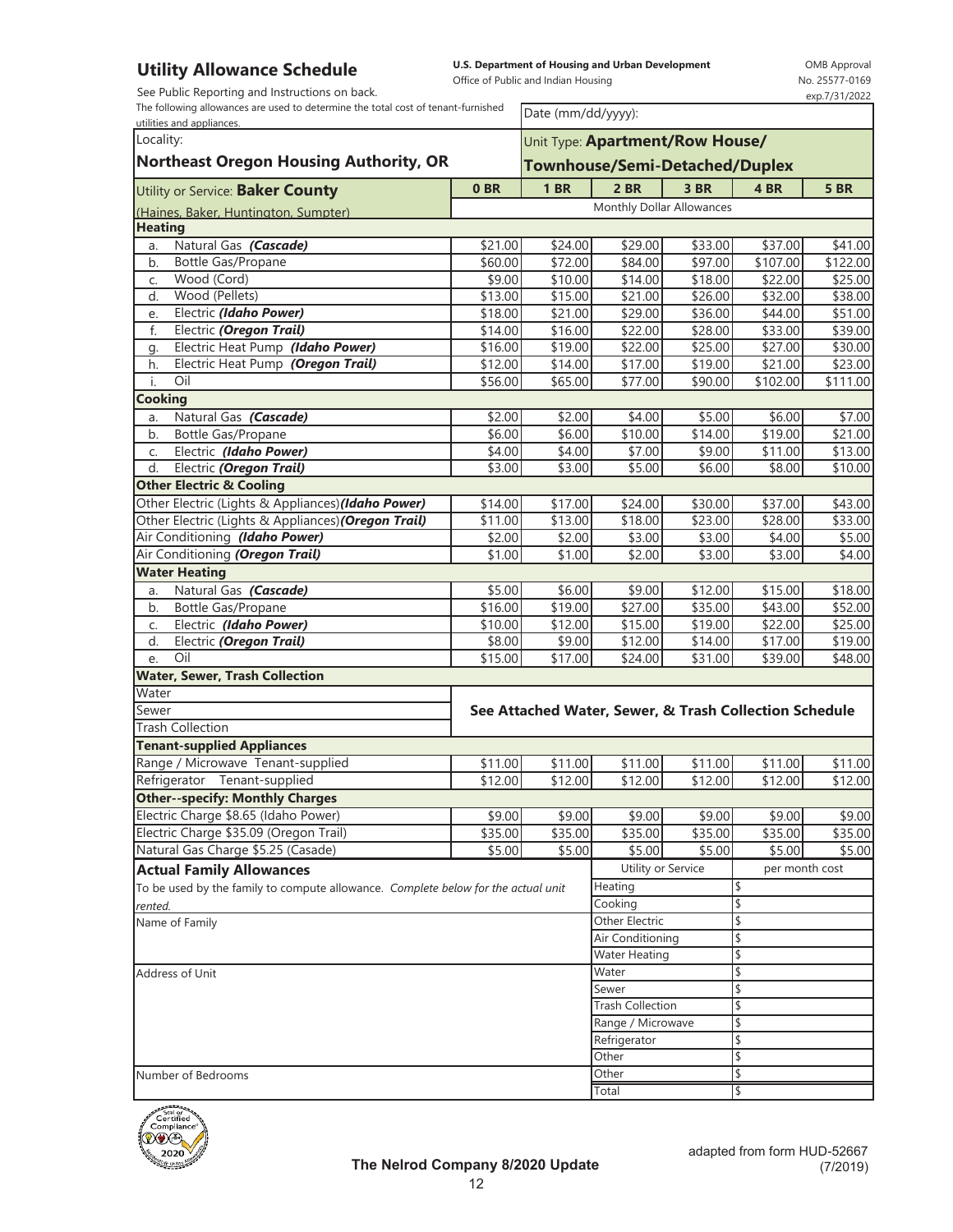See Public Reporting and Instructions on back.

**U.S. Department of Housing and Urban Development**  Office of Public and Indian Housing

OMB Approval No. 25577-0169 exp.7/31/2022

The following allowances are used to determine the total cost of tenant-furnished

| The following allowances are used to determine the total cost of tenant-furnished<br>utilities and appliances. |                                |                               | Date (mm/dd/yyyy):                                     |                               |                   |                   |  |  |
|----------------------------------------------------------------------------------------------------------------|--------------------------------|-------------------------------|--------------------------------------------------------|-------------------------------|-------------------|-------------------|--|--|
| Locality:                                                                                                      |                                |                               | Unit Type: Apartment/Row House/                        |                               |                   |                   |  |  |
| <b>Northeast Oregon Housing Authority, OR</b>                                                                  | Townhouse/Semi-Detached/Duplex |                               |                                                        |                               |                   |                   |  |  |
|                                                                                                                |                                |                               |                                                        |                               |                   |                   |  |  |
| Utility or Service: Baker County                                                                               | 0BR                            | 1 <sub>BR</sub>               | $2$ BR                                                 | 3 BR                          | 4 BR              | <b>5 BR</b>       |  |  |
| (Haines, Baker, Huntington, Sumpter)                                                                           |                                |                               | Monthly Dollar Allowances                              |                               |                   |                   |  |  |
| <b>Heating</b>                                                                                                 |                                |                               |                                                        |                               |                   |                   |  |  |
| Natural Gas (Cascade)<br>a.                                                                                    | \$21.00                        | \$24.00                       | \$29.00                                                | \$33.00                       | \$37.00           | \$41.00           |  |  |
| Bottle Gas/Propane<br>b.                                                                                       | \$60.00                        | \$72.00                       | \$84.00                                                | \$97.00                       | \$107.00          | \$122.00          |  |  |
| Wood (Cord)<br>C.                                                                                              | \$9.00                         | \$10.00                       | \$14.00                                                | \$18.00                       | \$22.00           | \$25.00           |  |  |
| Wood (Pellets)<br>d.                                                                                           | \$13.00                        | \$15.00                       | \$21.00                                                | \$26.00                       | \$32.00           | \$38.00           |  |  |
| Electric (Idaho Power)<br>e.                                                                                   | \$18.00                        | \$21.00                       | \$29.00                                                | \$36.00                       | \$44.00           | \$51.00           |  |  |
| Electric (Oregon Trail)<br>f.                                                                                  | \$14.00                        | \$16.00                       | \$22.00                                                | \$28.00                       | \$33.00           | \$39.00           |  |  |
| Electric Heat Pump (Idaho Power)<br>g.                                                                         | \$16.00                        | \$19.00                       | \$22.00                                                | \$25.00                       | \$27.00           | \$30.00           |  |  |
| Electric Heat Pump (Oregon Trail)<br>h.<br>Oil                                                                 | \$12.00                        | \$14.00                       | $\overline{$}17.00$                                    | \$19.00                       | \$21.00           | \$23.00           |  |  |
| i.                                                                                                             | \$56.00                        | \$65.00                       | \$77.00                                                | \$90.00                       | \$102.00          | \$111.00          |  |  |
| <b>Cooking</b><br>Natural Gas (Cascade)                                                                        | \$2.00                         | \$2.00                        |                                                        |                               |                   |                   |  |  |
| a.<br>b.<br>Bottle Gas/Propane                                                                                 | \$6.00                         | \$6.00                        | \$4.00<br>\$10.00                                      | \$5.00<br>$\overline{$}14.00$ | \$6.00<br>\$19.00 | \$7.00<br>\$21.00 |  |  |
| Electric (Idaho Power)                                                                                         | \$4.00                         | \$4.00                        | \$7.00                                                 | \$9.00                        | \$11.00           | \$13.00           |  |  |
| C.<br>Electric (Oregon Trail)<br>d.                                                                            | \$3.00                         | \$3.00                        | \$5.00                                                 | \$6.00                        | \$8.00            | \$10.00           |  |  |
| <b>Other Electric &amp; Cooling</b>                                                                            |                                |                               |                                                        |                               |                   |                   |  |  |
| Other Electric (Lights & Appliances) (Idaho Power)                                                             | \$14.00                        | \$17.00                       | \$24.00                                                | \$30.00                       | \$37.00           | \$43.00           |  |  |
| Other Electric (Lights & Appliances) (Oregon Trail)                                                            | \$11.00                        | \$13.00                       | \$18.00                                                | \$23.00                       | \$28.00           | \$33.00           |  |  |
| Air Conditioning (Idaho Power)                                                                                 | \$2.00                         | \$2.00                        | \$3.00                                                 | \$3.00                        | \$4.00            | \$5.00            |  |  |
| Air Conditioning (Oregon Trail)                                                                                | \$1.00                         | \$1.00                        | \$2.00                                                 | \$3.00                        | \$3.00            | \$4.00            |  |  |
| <b>Water Heating</b>                                                                                           |                                |                               |                                                        |                               |                   |                   |  |  |
| Natural Gas (Cascade)<br>a.                                                                                    | \$5.00                         | \$6.00                        | \$9.00                                                 | \$12.00                       | \$15.00           | \$18.00           |  |  |
| Bottle Gas/Propane<br>b.                                                                                       | \$16.00                        | \$19.00                       | \$27.00                                                | \$35.00                       | \$43.00           | \$52.00           |  |  |
| Electric (Idaho Power)<br>C.                                                                                   | \$10.00                        | \$12.00                       | \$15.00                                                | \$19.00                       | \$22.00           | \$25.00           |  |  |
| d.<br>Electric (Oregon Trail)                                                                                  | \$8.00                         | \$9.00                        | \$12.00                                                | \$14.00                       | \$17.00           | \$19.00           |  |  |
| Oil<br>e.                                                                                                      | \$15.00                        | \$17.00                       | \$24.00                                                | \$31.00                       | \$39.00           | \$48.00           |  |  |
| <b>Water, Sewer, Trash Collection</b>                                                                          |                                |                               |                                                        |                               |                   |                   |  |  |
| Water                                                                                                          |                                |                               |                                                        |                               |                   |                   |  |  |
| Sewer                                                                                                          |                                |                               | See Attached Water, Sewer, & Trash Collection Schedule |                               |                   |                   |  |  |
| <b>Trash Collection</b>                                                                                        |                                |                               |                                                        |                               |                   |                   |  |  |
| <b>Tenant-supplied Appliances</b>                                                                              |                                |                               |                                                        |                               |                   |                   |  |  |
| Range / Microwave Tenant-supplied                                                                              | \$11.00                        | \$11.00                       | \$11.00                                                | \$11.00                       | \$11.00           | \$11.00           |  |  |
| Refrigerator Tenant-supplied                                                                                   | \$12.00                        | \$12.00                       | \$12.00                                                | \$12.00                       | \$12.00           | \$12.00           |  |  |
| <b>Other--specify: Monthly Charges</b>                                                                         |                                |                               |                                                        |                               |                   |                   |  |  |
| Electric Charge \$8.65 (Idaho Power)                                                                           | \$9.00                         | \$9.00                        | \$9.00                                                 | \$9.00                        | \$9.00            | \$9.00            |  |  |
| Electric Charge \$35.09 (Oregon Trail)                                                                         | \$35.00                        | \$35.00                       | \$35.00                                                | \$35.00                       | \$35.00           | \$35.00           |  |  |
| Natural Gas Charge \$5.25 (Casade)                                                                             | \$5.00                         | \$5.00                        | \$5.00                                                 | \$5.00                        | \$5.00            | \$5.00            |  |  |
| <b>Actual Family Allowances</b>                                                                                |                                |                               | Utility or Service                                     |                               | per month cost    |                   |  |  |
| To be used by the family to compute allowance. Complete below for the actual unit                              |                                |                               | Heating                                                |                               |                   |                   |  |  |
| rented.                                                                                                        |                                |                               | Cooking                                                |                               | \$                |                   |  |  |
| Name of Family                                                                                                 |                                |                               | Other Electric                                         |                               | \$                |                   |  |  |
|                                                                                                                |                                |                               | Air Conditioning                                       |                               |                   |                   |  |  |
|                                                                                                                |                                | <b>Water Heating</b><br>Water |                                                        | \$<br>\$                      |                   |                   |  |  |
| Address of Unit                                                                                                |                                | Sewer                         |                                                        | \$                            |                   |                   |  |  |
|                                                                                                                |                                | <b>Trash Collection</b>       |                                                        | \$                            |                   |                   |  |  |
|                                                                                                                |                                |                               | Range / Microwave                                      |                               | \$                |                   |  |  |
|                                                                                                                |                                |                               | Refrigerator                                           |                               | \$                |                   |  |  |
|                                                                                                                |                                |                               | Other                                                  |                               | \$                |                   |  |  |
| Number of Bedrooms                                                                                             |                                |                               | Other                                                  |                               | \$                |                   |  |  |
|                                                                                                                |                                |                               | Total                                                  | \$                            |                   |                   |  |  |

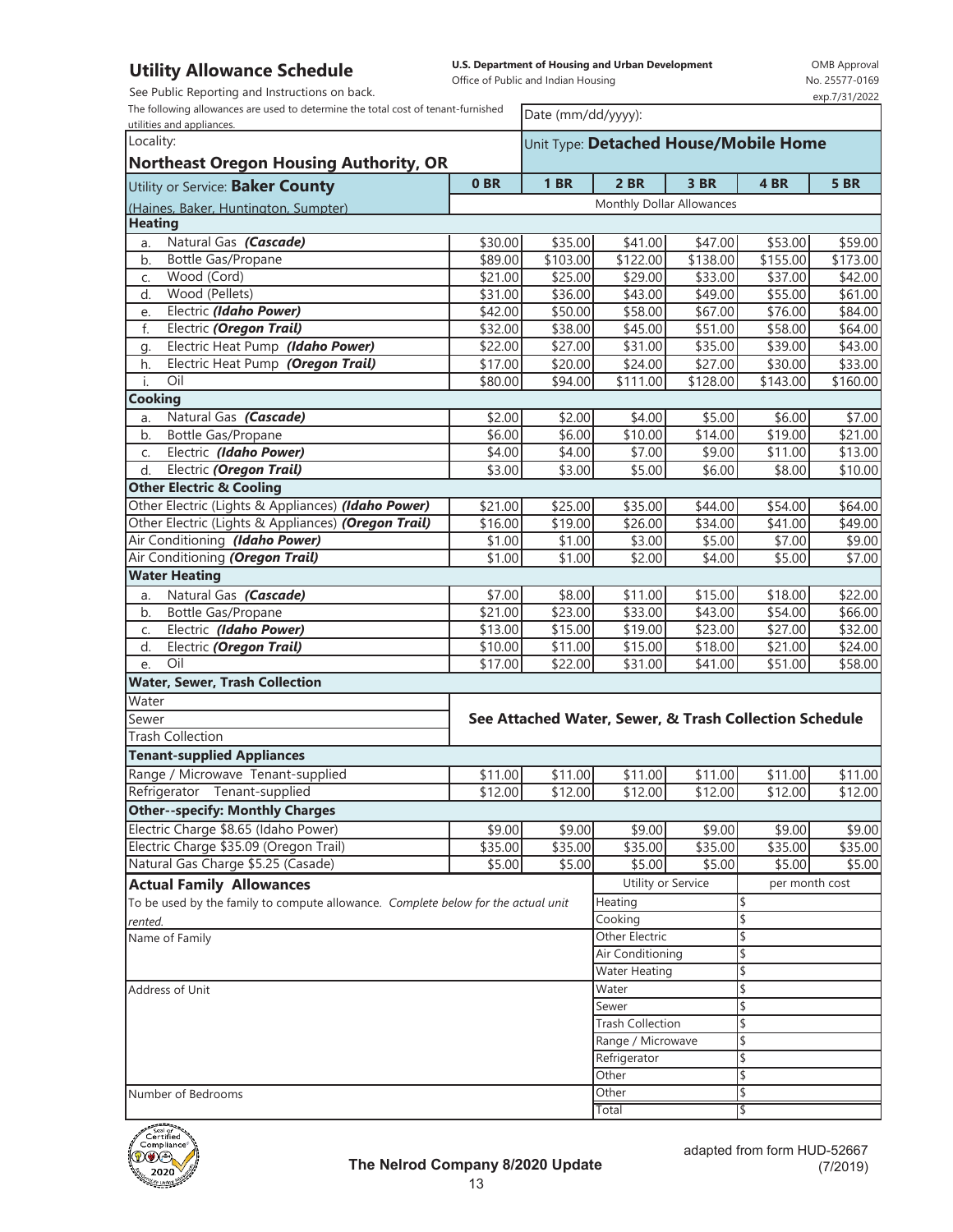See Public Reporting and Instructions on back.

The following allowances are used to determine the total cost of tenant-furnished

**U.S. Department of Housing and Urban Development**  Office of Public and Indian Housing

OMB Approval No. 25577-0169 exp.7/31/2022

| The following allowances are used to determine the total cost of tenant-furnished<br>utilities and appliances. |                 |                         | Date (mm/dd/yyyy):                                     |          |                |             |  |  |
|----------------------------------------------------------------------------------------------------------------|-----------------|-------------------------|--------------------------------------------------------|----------|----------------|-------------|--|--|
| Locality:                                                                                                      |                 |                         | Unit Type: Detached House/Mobile Home                  |          |                |             |  |  |
| <b>Northeast Oregon Housing Authority, OR</b>                                                                  |                 |                         |                                                        |          |                |             |  |  |
| Utility or Service: Baker County                                                                               | 0 <sub>BR</sub> | <b>1 BR</b>             | 2 BR                                                   | 3 BR     | 4 BR           | <b>5 BR</b> |  |  |
| (Haines, Baker, Huntington, Sumpter)                                                                           |                 |                         | Monthly Dollar Allowances                              |          |                |             |  |  |
| <b>Heating</b>                                                                                                 |                 |                         |                                                        |          |                |             |  |  |
| Natural Gas (Cascade)<br>a.                                                                                    | \$30.00         | \$35.00                 | \$41.00                                                | \$47.00  | \$53.00        | \$59.00     |  |  |
| Bottle Gas/Propane<br>b.                                                                                       | \$89.00         | \$103.00                | \$122.00                                               | \$138.00 | \$155.00       | \$173.00    |  |  |
| Wood (Cord)<br>C.                                                                                              | \$21.00         | \$25.00                 | \$29.00                                                | \$33.00  | \$37.00        | \$42.00     |  |  |
| Wood (Pellets)<br>d.                                                                                           | \$31.00         | \$36.00                 | \$43.00                                                | \$49.00  | \$55.00        | \$61.00     |  |  |
| Electric (Idaho Power)<br>e.                                                                                   | \$42.00         | \$50.00                 | \$58.00                                                | \$67.00  | \$76.00        | \$84.00     |  |  |
| f.<br>Electric (Oregon Trail)                                                                                  | \$32.00         | \$38.00                 | \$45.00                                                | \$51.00  | \$58.00        | \$64.00     |  |  |
| Electric Heat Pump (Idaho Power)<br>g.                                                                         | \$22.00         | \$27.00                 | \$31.00                                                | \$35.00  | \$39.00        | \$43.00     |  |  |
| Electric Heat Pump (Oregon Trail)<br>h.                                                                        | \$17.00         | \$20.00                 | \$24.00                                                | \$27.00  | \$30.00        | \$33.00     |  |  |
| i.<br>Oil                                                                                                      | \$80.00         | \$94.00                 | \$111.00                                               | \$128.00 | \$143.00       | \$160.00    |  |  |
| <b>Cooking</b>                                                                                                 |                 |                         |                                                        |          |                |             |  |  |
| Natural Gas (Cascade)<br>a.                                                                                    | \$2.00          | \$2.00                  | \$4.00                                                 | \$5.00   | \$6.00         | \$7.00      |  |  |
| Bottle Gas/Propane<br>b.                                                                                       | \$6.00          | \$6.00                  | \$10.00                                                | \$14.00  | \$19.00        | \$21.00     |  |  |
| Electric (Idaho Power)<br>C.                                                                                   | \$4.00          | \$4.00                  | \$7.00                                                 | \$9.00   | \$11.00        | \$13.00     |  |  |
| Electric (Oregon Trail)<br>d.                                                                                  | \$3.00          | \$3.00                  | \$5.00                                                 | \$6.00   | \$8.00         | \$10.00     |  |  |
| <b>Other Electric &amp; Cooling</b>                                                                            |                 |                         |                                                        |          |                |             |  |  |
| Other Electric (Lights & Appliances) (Idaho Power)                                                             | \$21.00         | \$25.00                 | \$35.00                                                | \$44.00  | \$54.00        | \$64.00     |  |  |
| Other Electric (Lights & Appliances) (Oregon Trail)                                                            | \$16.00         | \$19.00                 | \$26.00                                                | \$34.00  | \$41.00        | \$49.00     |  |  |
| Air Conditioning (Idaho Power)                                                                                 | \$1.00          | \$1.00                  | \$3.00                                                 | \$5.00   | \$7.00         | \$9.00      |  |  |
| Air Conditioning (Oregon Trail)                                                                                | \$1.00          | \$1.00                  | \$2.00                                                 | \$4.00   | \$5.00         | \$7.00      |  |  |
| <b>Water Heating</b>                                                                                           |                 |                         |                                                        |          |                |             |  |  |
| Natural Gas (Cascade)<br>a.                                                                                    | \$7.00          | \$8.00                  | \$11.00                                                | \$15.00  | \$18.00        | \$22.00     |  |  |
| Bottle Gas/Propane<br>b.                                                                                       | \$21.00         | \$23.00                 | \$33.00                                                | \$43.00  | \$54.00        | \$66.00     |  |  |
| Electric (Idaho Power)<br>C.                                                                                   | \$13.00         | \$15.00                 | \$19.00                                                | \$23.00  | \$27.00        | \$32.00     |  |  |
| d.<br>Electric (Oregon Trail)                                                                                  | \$10.00         | \$11.00                 | \$15.00                                                | \$18.00  | \$21.00        | \$24.00     |  |  |
| Oil<br>e.                                                                                                      | \$17.00         | \$22.00                 | \$31.00                                                | \$41.00  | \$51.00        | \$58.00     |  |  |
| <b>Water, Sewer, Trash Collection</b>                                                                          |                 |                         |                                                        |          |                |             |  |  |
| Water                                                                                                          |                 |                         |                                                        |          |                |             |  |  |
| Sewer                                                                                                          |                 |                         | See Attached Water, Sewer, & Trash Collection Schedule |          |                |             |  |  |
| <b>Trash Collection</b>                                                                                        |                 |                         |                                                        |          |                |             |  |  |
| <b>Tenant-supplied Appliances</b>                                                                              |                 |                         |                                                        |          |                |             |  |  |
| Range / Microwave Tenant-supplied                                                                              | \$11.00         | \$11.00                 | \$11.00                                                | \$11.00  | \$11.00        | \$11.00     |  |  |
| Refrigerator Tenant-supplied                                                                                   | \$12.00         | \$12.00                 | \$12.00                                                | \$12.00  | \$12.00        | \$12.00     |  |  |
| <b>Other--specify: Monthly Charges</b>                                                                         |                 |                         |                                                        |          |                |             |  |  |
| Electric Charge \$8.65 (Idaho Power)                                                                           | \$9.00          | \$9.00                  | \$9.00                                                 | \$9.00   | \$9.00         | \$9.00      |  |  |
| Electric Charge \$35.09 (Oregon Trail)                                                                         | \$35.00         | \$35.00                 | \$35.00                                                | \$35.00  | \$35.00        | \$35.00     |  |  |
| Natural Gas Charge \$5.25 (Casade)                                                                             | \$5.00          | \$5.00                  | \$5.00                                                 | \$5.00   | \$5.00         | \$5.00      |  |  |
| <b>Actual Family Allowances</b>                                                                                |                 |                         | Utility or Service                                     |          | per month cost |             |  |  |
| To be used by the family to compute allowance. Complete below for the actual unit                              |                 |                         | Heating                                                |          | \$             |             |  |  |
| rented.                                                                                                        |                 |                         | Cooking                                                |          | \$             |             |  |  |
| Name of Family                                                                                                 |                 |                         | Other Electric                                         |          | \$             |             |  |  |
|                                                                                                                |                 |                         | Air Conditioning                                       |          |                |             |  |  |
|                                                                                                                |                 |                         | <b>Water Heating</b>                                   |          | \$             |             |  |  |
| Address of Unit                                                                                                |                 | Water                   |                                                        | \$       |                |             |  |  |
|                                                                                                                |                 | Sewer                   |                                                        | \$       |                |             |  |  |
|                                                                                                                |                 | <b>Trash Collection</b> |                                                        | \$       |                |             |  |  |
|                                                                                                                |                 |                         | Range / Microwave                                      |          | \$             |             |  |  |
|                                                                                                                |                 |                         | Refrigerator                                           |          | \$             |             |  |  |
|                                                                                                                |                 |                         | Other                                                  |          | \$             |             |  |  |
| Number of Bedrooms                                                                                             |                 |                         | Other<br>\$                                            |          |                |             |  |  |
|                                                                                                                |                 |                         | Total                                                  |          |                |             |  |  |

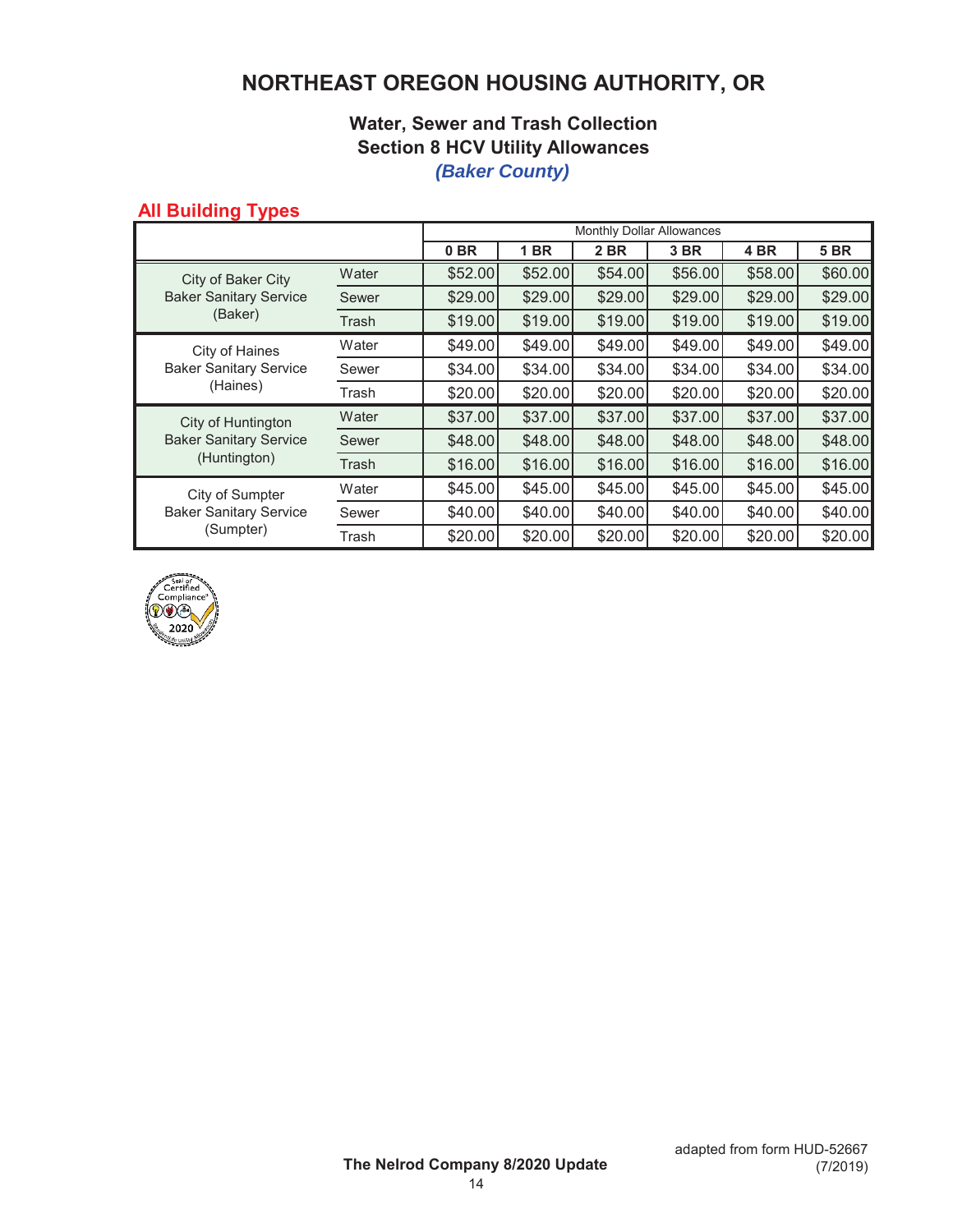## **NORTHEAST OREGON HOUSING AUTHORITY, OR**

### **Water, Sewer and Trash Collection Section 8 HCV Utility Allowances** *(Baker County)*

### **All Building Types**

|                                                                     |       | Monthly Dollar Allowances |         |         |          |         |             |
|---------------------------------------------------------------------|-------|---------------------------|---------|---------|----------|---------|-------------|
|                                                                     |       | 0 <sub>BR</sub>           | 1 BR    | 2 BR    | 3 BR     | 4 BR    | <b>5 BR</b> |
| City of Baker City<br><b>Baker Sanitary Service</b><br>(Baker)      | Water | \$52.00                   | \$52.00 | \$54.00 | \$56.00  | \$58.00 | \$60.00     |
|                                                                     | Sewer | \$29.00                   | \$29.00 | \$29.00 | \$29.00  | \$29.00 | \$29.00     |
|                                                                     | Trash | \$19.00                   | \$19.00 | \$19.00 | \$19.00  | \$19.00 | \$19.00     |
| City of Haines<br><b>Baker Sanitary Service</b><br>(Haines)         | Water | \$49.00                   | \$49.00 | \$49.00 | \$49.00] | \$49.00 | \$49.00     |
|                                                                     | Sewer | \$34.00                   | \$34.00 | \$34.00 | \$34.00  | \$34.00 | \$34.00     |
|                                                                     | Trash | \$20.00                   | \$20.00 | \$20.00 | \$20.00] | \$20.00 | \$20.00     |
| City of Huntington<br><b>Baker Sanitary Service</b><br>(Huntington) | Water | \$37.00                   | \$37.00 | \$37.00 | \$37.00  | \$37.00 | \$37.00     |
|                                                                     | Sewer | \$48.00                   | \$48.00 | \$48.00 | \$48.00  | \$48.00 | \$48.00     |
|                                                                     | Trash | \$16.00                   | \$16.00 | \$16.00 | \$16.00  | \$16.00 | \$16.00     |
| City of Sumpter<br><b>Baker Sanitary Service</b><br>(Sumpter)       | Water | \$45.00                   | \$45.00 | \$45.00 | \$45.00  | \$45.00 | \$45.00     |
|                                                                     | Sewer | \$40.00]                  | \$40.00 | \$40.00 | \$40.00] | \$40.00 | \$40.00     |
|                                                                     | Trash | \$20.00                   | \$20.00 | \$20.00 | \$20.00  | \$20.00 | \$20.00     |

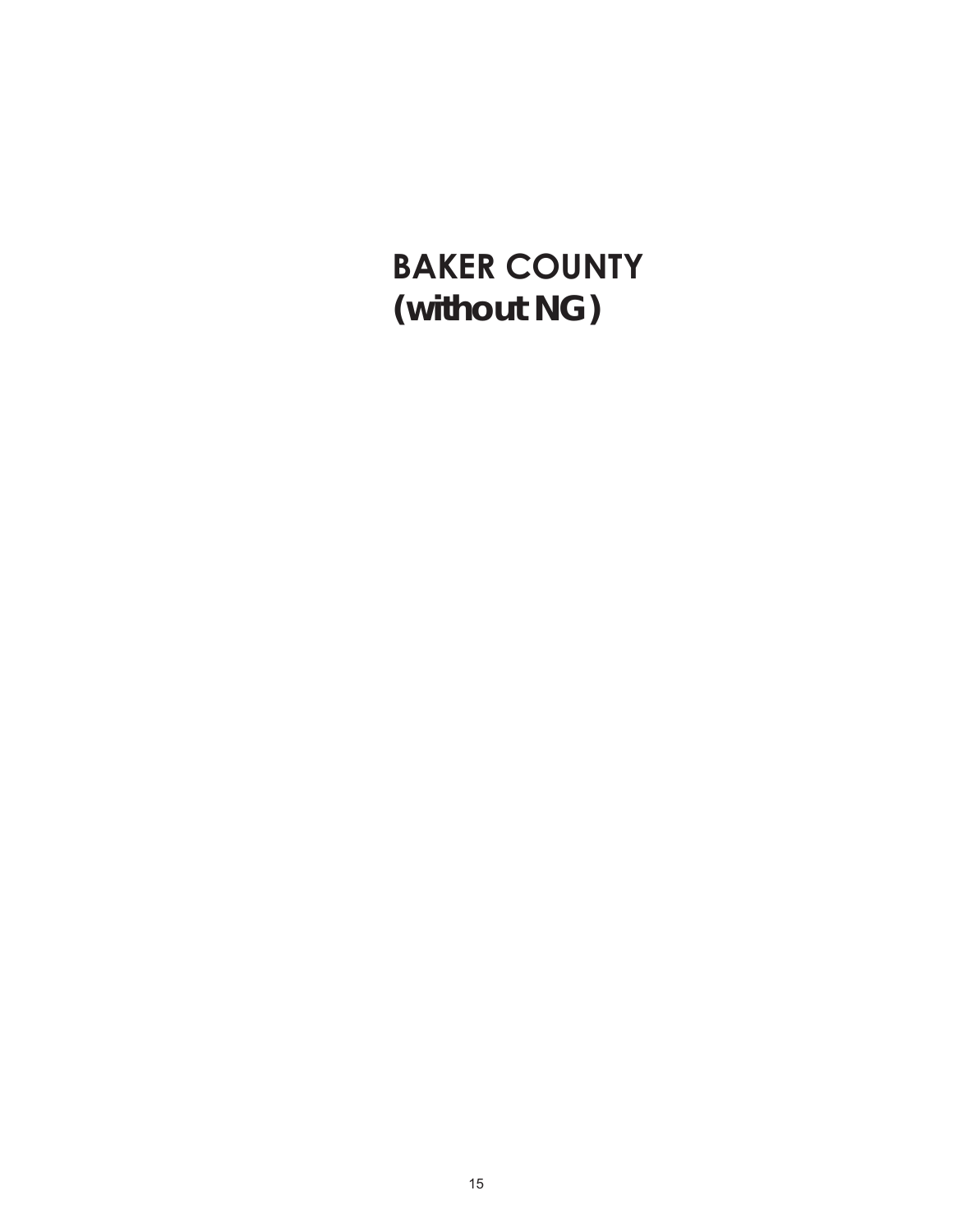# **BAKER COUNTY (without NG)**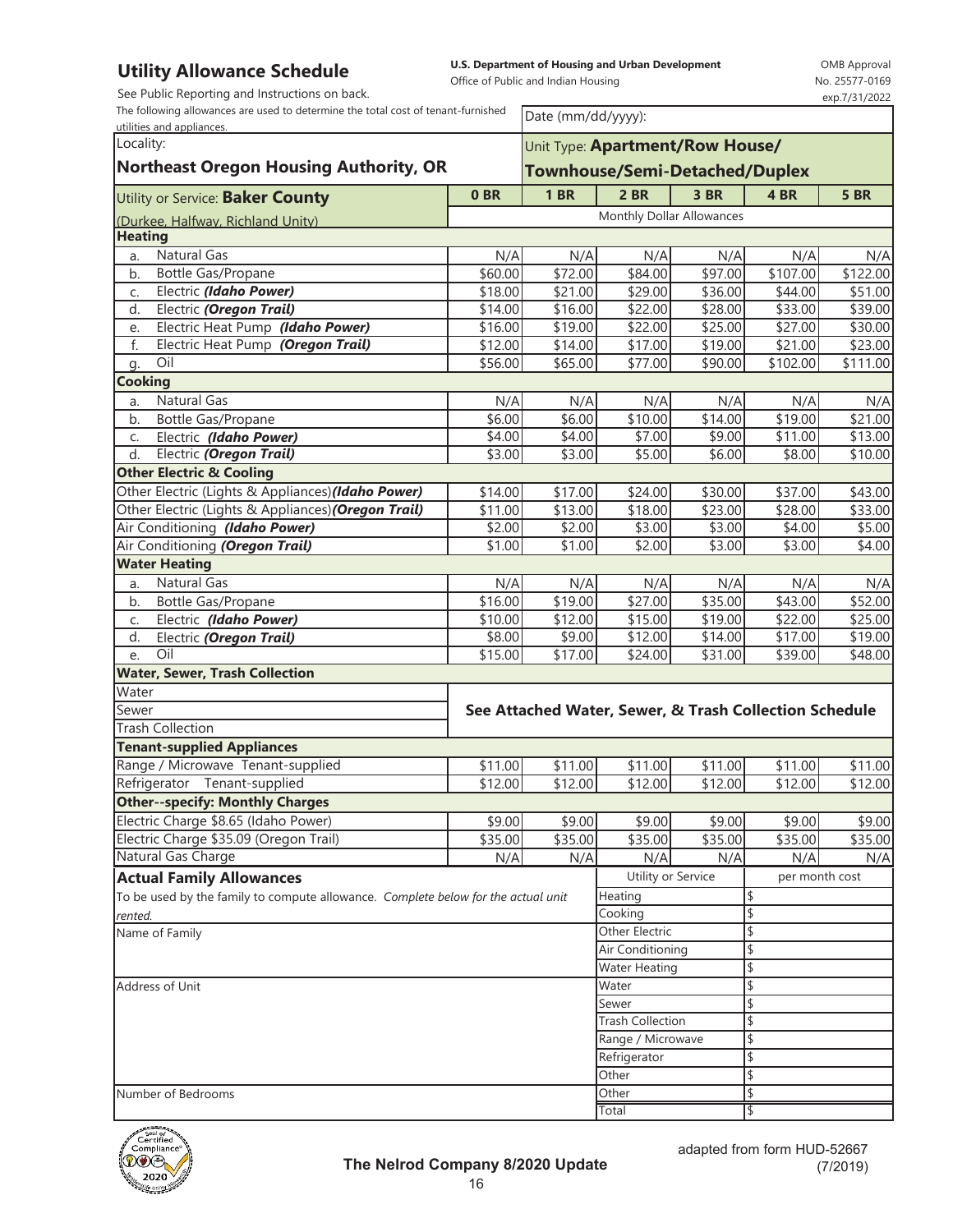See Public Reporting and Instructions on back.

The following allowances are used to determine the total cost of tenant-furnished

**U.S. Department of Housing and Urban Development** 

Office of Public and Indian Housing

OMB Approval No. 25577-0169 exp.7/31/2022

| The following allowances are used to determine the total cost of tenant-furnished<br>utilities and appliances. |                | Date (mm/dd/yyyy):      |                                                        |                     |                      |             |  |  |  |
|----------------------------------------------------------------------------------------------------------------|----------------|-------------------------|--------------------------------------------------------|---------------------|----------------------|-------------|--|--|--|
| Locality:<br><b>Northeast Oregon Housing Authority, OR</b>                                                     |                |                         | Unit Type: Apartment/Row House/                        |                     |                      |             |  |  |  |
|                                                                                                                |                |                         | <b>Townhouse/Semi-Detached/Duplex</b>                  |                     |                      |             |  |  |  |
|                                                                                                                |                |                         |                                                        |                     |                      |             |  |  |  |
| Utility or Service: Baker County                                                                               | 0BR            | <b>1 BR</b>             | 2 BR                                                   | 3 BR                | 4 BR                 | <b>5 BR</b> |  |  |  |
| (Durkee, Halfway, Richland Unity)                                                                              |                |                         | Monthly Dollar Allowances                              |                     |                      |             |  |  |  |
| <b>Heating</b>                                                                                                 |                |                         |                                                        |                     |                      |             |  |  |  |
| Natural Gas<br>a.                                                                                              | N/A            | N/A                     | N/A                                                    | N/A                 | N/A                  | N/A         |  |  |  |
| b.<br>Bottle Gas/Propane                                                                                       | \$60.00        | $\overline{$}72.00$     | $\overline{$84.00}$                                    | $\overline{$97.00}$ | $\overline{$}107.00$ | \$122.00    |  |  |  |
| Electric (Idaho Power)<br>C.                                                                                   | \$18.00        | \$21.00                 | \$29.00                                                | \$36.00             | \$44.00              | \$51.00     |  |  |  |
| Electric (Oregon Trail)<br>d.                                                                                  | \$14.00        | \$16.00                 | \$22.00                                                | \$28.00             | \$33.00              | \$39.00     |  |  |  |
| Electric Heat Pump (Idaho Power)<br>e.                                                                         | \$16.00        | \$19.00                 | \$22.00                                                | \$25.00             | \$27.00              | \$30.00     |  |  |  |
| f.<br>Electric Heat Pump (Oregon Trail)                                                                        | \$12.00        | \$14.00                 | \$17.00                                                | \$19.00             | \$21.00              | \$23.00     |  |  |  |
| Oil<br>g.                                                                                                      | \$56.00        | \$65.00                 | \$77.00                                                | \$90.00             | \$102.00             | \$111.00    |  |  |  |
| <b>Cooking</b>                                                                                                 |                |                         |                                                        |                     |                      |             |  |  |  |
| Natural Gas<br>a.                                                                                              | N/A            | N/A                     | N/A                                                    | N/A                 | N/A                  | N/A         |  |  |  |
| Bottle Gas/Propane<br>b.                                                                                       | \$6.00         | \$6.00                  | $\overline{$}10.00$                                    | $\overline{$}14.00$ | $\overline{$}19.00$  | \$21.00     |  |  |  |
| Electric (Idaho Power)<br>C.                                                                                   | \$4.00         | \$4.00                  | \$7.00                                                 | \$9.00              | $\overline{$}11.00$  | \$13.00     |  |  |  |
| Electric (Oregon Trail)<br>d.                                                                                  | \$3.00         | \$3.00                  | \$5.00                                                 | \$6.00              | \$8.00               | \$10.00     |  |  |  |
| <b>Other Electric &amp; Cooling</b>                                                                            |                |                         |                                                        |                     |                      |             |  |  |  |
| Other Electric (Lights & Appliances) (Idaho Power)                                                             | \$14.00        | \$17.00                 | \$24.00                                                | \$30.00             | \$37.00              | \$43.00     |  |  |  |
| Other Electric (Lights & Appliances) (Oregon Trail)                                                            | \$11.00        | \$13.00                 | \$18.00                                                | \$23.00             | \$28.00              | \$33.00     |  |  |  |
| Air Conditioning (Idaho Power)                                                                                 | \$2.00         | \$2.00                  | \$3.00                                                 | \$3.00              | \$4.00               | \$5.00      |  |  |  |
| Air Conditioning (Oregon Trail)                                                                                | \$1.00         | \$1.00                  | \$2.00                                                 | \$3.00              | \$3.00               | \$4.00      |  |  |  |
| <b>Water Heating</b>                                                                                           |                |                         |                                                        |                     |                      |             |  |  |  |
| <b>Natural Gas</b><br>a.                                                                                       | N/A            | N/A                     | N/A                                                    | N/A                 | N/A                  | N/A         |  |  |  |
| Bottle Gas/Propane<br>b.                                                                                       | \$16.00        | \$19.00                 | $\overline{$27.00}$                                    | \$35.00             | \$43.00              | \$52.00     |  |  |  |
| Electric (Idaho Power)<br>C.                                                                                   | \$10.00        | \$12.00                 | \$15.00                                                | \$19.00             | \$22.00              | \$25.00     |  |  |  |
| Electric (Oregon Trail)<br>d.                                                                                  | \$8.00         | \$9.00                  | \$12.00                                                | \$14.00             | \$17.00              | \$19.00     |  |  |  |
| Oil<br>e.                                                                                                      | \$15.00        | \$17.00                 | \$24.00                                                | \$31.00             | \$39.00              | \$48.00     |  |  |  |
| <b>Water, Sewer, Trash Collection</b>                                                                          |                |                         |                                                        |                     |                      |             |  |  |  |
| Water                                                                                                          |                |                         |                                                        |                     |                      |             |  |  |  |
| Sewer                                                                                                          |                |                         | See Attached Water, Sewer, & Trash Collection Schedule |                     |                      |             |  |  |  |
| <b>Trash Collection</b>                                                                                        |                |                         |                                                        |                     |                      |             |  |  |  |
| <b>Tenant-supplied Appliances</b><br>Range / Microwave Tenant-supplied                                         |                |                         |                                                        |                     |                      |             |  |  |  |
| Refrigerator Tenant-supplied                                                                                   | \$11.00        | \$11.00                 | \$11.00<br>\$12.00                                     | \$11.00             | \$11.00              | \$11.00     |  |  |  |
| <b>Other--specify: Monthly Charges</b>                                                                         | \$12.00        | \$12.00                 |                                                        | \$12.00             | \$12.00              | \$12.00     |  |  |  |
| Electric Charge \$8.65 (Idaho Power)                                                                           | \$9.00         |                         |                                                        | \$9.00              |                      |             |  |  |  |
| Electric Charge \$35.09 (Oregon Trail)                                                                         |                | \$9.00                  | \$9.00                                                 |                     | \$9.00               | \$9.00      |  |  |  |
| Natural Gas Charge                                                                                             | \$35.00<br>N/A | \$35.00<br>N/A          | \$35.00<br>N/A                                         | \$35.00<br>N/A      | \$35.00<br>N/A       | \$35.00     |  |  |  |
|                                                                                                                |                |                         | Utility or Service                                     |                     | per month cost       | N/A         |  |  |  |
| <b>Actual Family Allowances</b>                                                                                |                |                         | Heating                                                |                     | \$                   |             |  |  |  |
| To be used by the family to compute allowance. Complete below for the actual unit                              |                |                         | Cooking                                                |                     | \$                   |             |  |  |  |
| rented.<br>Name of Family                                                                                      |                |                         |                                                        |                     | \$                   |             |  |  |  |
|                                                                                                                |                |                         | Other Electric<br><b>Air Conditioning</b>              |                     | \$                   |             |  |  |  |
|                                                                                                                |                |                         | <b>Water Heating</b>                                   |                     | \$                   |             |  |  |  |
| Address of Unit                                                                                                |                |                         | Water                                                  |                     | \$                   |             |  |  |  |
|                                                                                                                |                |                         | Sewer                                                  |                     | \$                   |             |  |  |  |
|                                                                                                                |                | <b>Trash Collection</b> |                                                        | \$                  |                      |             |  |  |  |
|                                                                                                                |                | Range / Microwave       |                                                        | \$                  |                      |             |  |  |  |
|                                                                                                                |                |                         | Refrigerator                                           |                     | \$                   |             |  |  |  |
|                                                                                                                |                |                         | Other                                                  |                     | \$                   |             |  |  |  |
| Number of Bedrooms                                                                                             |                |                         | Other                                                  |                     | \$                   |             |  |  |  |
|                                                                                                                |                |                         | Total                                                  |                     | \$                   |             |  |  |  |

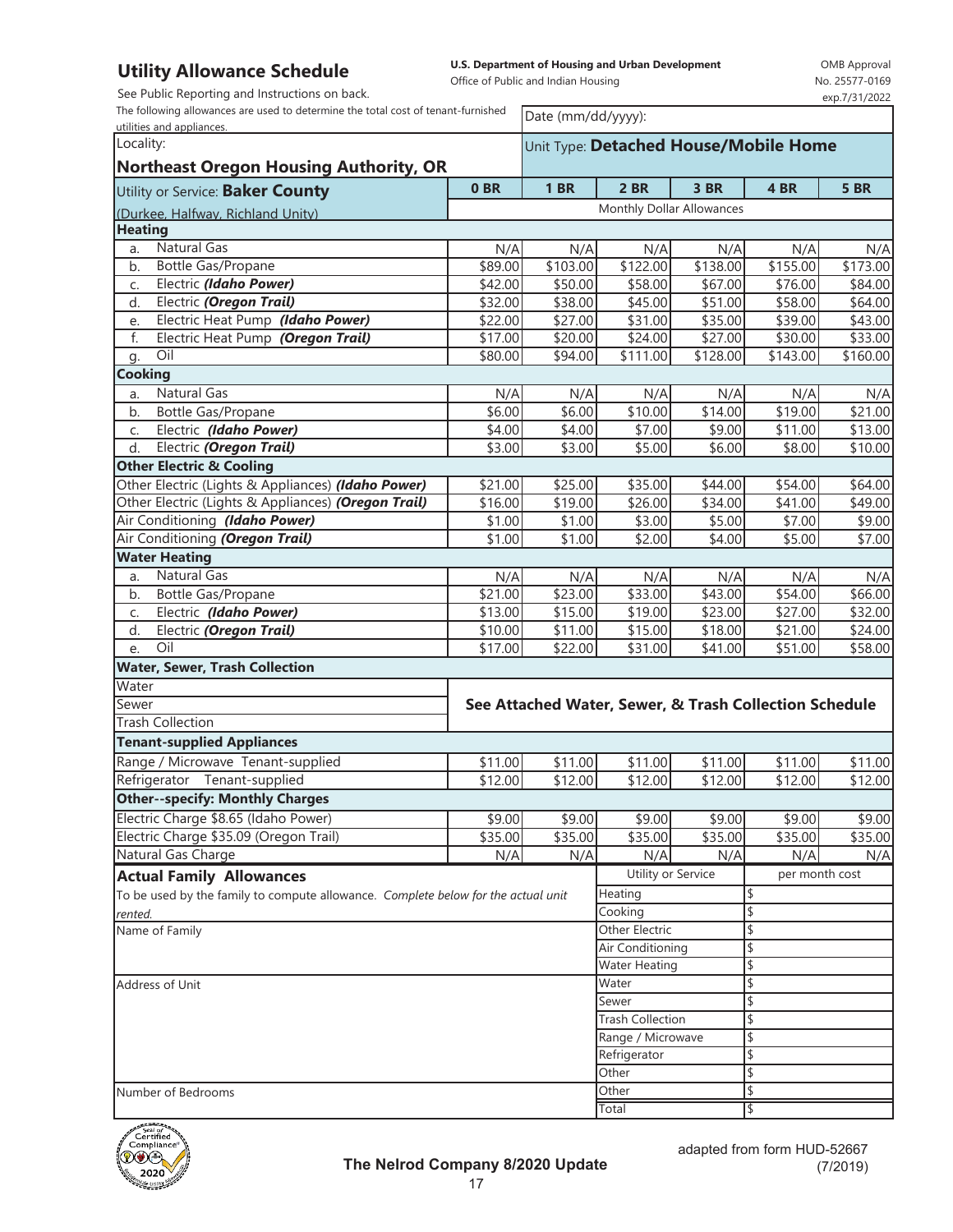See Public Reporting and Instructions on back.

The following allowances are used to determine the total cost of tenant-furnished

**U.S. Department of Housing and Urban Development** 

Office of Public and Indian Housing

OMB Approval No. 25577-0169 exp.7/31/2022

| The following allowances are used to determine the total cost of tenant-furnished<br>utilities and appliances. |                                       |                         | Date (mm/dd/yyyy):                                     |                     |                      |                     |  |  |
|----------------------------------------------------------------------------------------------------------------|---------------------------------------|-------------------------|--------------------------------------------------------|---------------------|----------------------|---------------------|--|--|
| Locality:                                                                                                      | Unit Type: Detached House/Mobile Home |                         |                                                        |                     |                      |                     |  |  |
| <b>Northeast Oregon Housing Authority, OR</b>                                                                  |                                       |                         |                                                        |                     |                      |                     |  |  |
| Utility or Service: Baker County                                                                               | 0BR                                   | <b>1 BR</b>             | $2$ BR                                                 | 3 BR                | 4 BR                 | <b>5 BR</b>         |  |  |
| (Durkee, Halfway, Richland Unity)                                                                              |                                       |                         | Monthly Dollar Allowances                              |                     |                      |                     |  |  |
| <b>Heating</b>                                                                                                 |                                       |                         |                                                        |                     |                      |                     |  |  |
| Natural Gas<br>a.                                                                                              | N/A                                   | N/A                     | N/A                                                    | N/A                 | N/A                  | N/A                 |  |  |
| Bottle Gas/Propane<br>b.                                                                                       | \$89.00                               | \$103.00                | \$122.00                                               | \$138.00            | \$155.00             | \$173.00            |  |  |
| Electric (Idaho Power)<br>C.                                                                                   | \$42.00                               | \$50.00                 | \$58.00                                                | \$67.00             | \$76.00              | \$84.00             |  |  |
| Electric (Oregon Trail)<br>d.                                                                                  | \$32.00                               | \$38.00                 | \$45.00                                                | \$51.00             | \$58.00              | \$64.00             |  |  |
| Electric Heat Pump (Idaho Power)<br>e.                                                                         | \$22.00                               | \$27.00                 | \$31.00                                                | \$35.00             | \$39.00              | \$43.00             |  |  |
| f.<br>Electric Heat Pump (Oregon Trail)                                                                        | \$17.00                               | \$20.00                 | $\overline{$}24.00$                                    | \$27.00             | \$30.00              | \$33.00             |  |  |
| Oil<br>g.                                                                                                      | \$80.00                               | $\overline{$}94.00$     | \$111.00                                               | \$128.00            | $\overline{$}143.00$ | \$160.00            |  |  |
| <b>Cooking</b>                                                                                                 |                                       |                         |                                                        |                     |                      |                     |  |  |
| <b>Natural Gas</b><br>a.                                                                                       | N/A                                   | N/A                     | N/A                                                    | N/A                 | N/A                  | N/A                 |  |  |
| Bottle Gas/Propane<br>b.                                                                                       | \$6.00                                | \$6.00                  | \$10.00                                                | \$14.00             | \$19.00              | \$21.00             |  |  |
| Electric (Idaho Power)<br>C.                                                                                   | \$4.00                                | \$4.00                  | \$7.00                                                 | \$9.00              | \$11.00              | \$13.00             |  |  |
| Electric (Oregon Trail)<br>d.                                                                                  | \$3.00                                | \$3.00                  | \$5.00                                                 | \$6.00              | \$8.00               | \$10.00             |  |  |
| <b>Other Electric &amp; Cooling</b>                                                                            |                                       |                         |                                                        |                     |                      |                     |  |  |
| Other Electric (Lights & Appliances) (Idaho Power)                                                             | \$21.00                               | \$25.00                 | \$35.00                                                | \$44.00             | \$54.00              | \$64.00             |  |  |
| Other Electric (Lights & Appliances) (Oregon Trail)                                                            | \$16.00                               | \$19.00                 | \$26.00                                                | \$34.00             | \$41.00              | \$49.00             |  |  |
| Air Conditioning (Idaho Power)                                                                                 | \$1.00                                | \$1.00                  | \$3.00                                                 | \$5.00              | \$7.00               | \$9.00              |  |  |
| Air Conditioning (Oregon Trail)                                                                                | \$1.00                                | \$1.00                  | \$2.00                                                 | \$4.00              | \$5.00               | \$7.00              |  |  |
| <b>Water Heating</b><br><b>Natural Gas</b>                                                                     |                                       |                         |                                                        |                     |                      |                     |  |  |
| a.                                                                                                             | N/A<br>$\overline{$}21.00$            | N/A                     | N/A                                                    | N/A                 | N/A                  | N/A                 |  |  |
| Bottle Gas/Propane<br>b.<br>Electric (Idaho Power)                                                             | \$13.00                               | \$23.00                 | \$33.00                                                | \$43.00             | \$54.00              | \$66.00             |  |  |
| C.<br>d.<br>Electric (Oregon Trail)                                                                            | \$10.00                               | \$15.00<br>\$11.00      | \$19.00<br>\$15.00                                     | \$23.00<br>\$18.00  | \$27.00<br>\$21.00   | \$32.00<br>\$24.00  |  |  |
| Oil<br>e.                                                                                                      | \$17.00                               | \$22.00                 | \$31.00                                                | \$41.00             | \$51.00              | \$58.00             |  |  |
| <b>Water, Sewer, Trash Collection</b>                                                                          |                                       |                         |                                                        |                     |                      |                     |  |  |
| Water                                                                                                          |                                       |                         |                                                        |                     |                      |                     |  |  |
| Sewer                                                                                                          |                                       |                         | See Attached Water, Sewer, & Trash Collection Schedule |                     |                      |                     |  |  |
| <b>Trash Collection</b>                                                                                        |                                       |                         |                                                        |                     |                      |                     |  |  |
| <b>Tenant-supplied Appliances</b>                                                                              |                                       |                         |                                                        |                     |                      |                     |  |  |
| Range / Microwave Tenant-supplied                                                                              | \$11.00                               | \$11.00                 | \$11.00                                                | \$11.00             | \$11.00              | \$11.00             |  |  |
| Tenant-supplied<br>Refrigerator                                                                                | $\overline{$}12.00$                   | \$12.00                 | \$12.00                                                | $\overline{$}12.00$ | $\overline{$}12.00$  | $\overline{$}12.00$ |  |  |
| <b>Other--specify: Monthly Charges</b>                                                                         |                                       |                         |                                                        |                     |                      |                     |  |  |
| Electric Charge \$8.65 (Idaho Power)                                                                           | \$9.00                                | \$9.00                  | \$9.00                                                 | \$9.00              | \$9.00               | \$9.00              |  |  |
| Electric Charge \$35.09 (Oregon Trail)                                                                         | \$35.00                               | \$35.00                 | \$35.00                                                | \$35.00             | \$35.00              | \$35.00             |  |  |
| Natural Gas Charge                                                                                             | N/A                                   | N/A                     | N/A                                                    | N/A                 | N/A                  | N/A                 |  |  |
| <b>Actual Family Allowances</b>                                                                                |                                       |                         | Utility or Service                                     |                     | per month cost       |                     |  |  |
| To be used by the family to compute allowance. Complete below for the actual unit                              |                                       |                         | Heating                                                |                     |                      |                     |  |  |
| rented.                                                                                                        |                                       |                         | Cooking                                                |                     | \$                   |                     |  |  |
| Name of Family                                                                                                 |                                       |                         | Other Electric                                         |                     | \$                   |                     |  |  |
|                                                                                                                |                                       |                         | Air Conditioning                                       |                     | \$                   |                     |  |  |
|                                                                                                                |                                       |                         | <b>Water Heating</b>                                   |                     | \$                   |                     |  |  |
| Address of Unit                                                                                                |                                       |                         | Water                                                  |                     | \$                   |                     |  |  |
|                                                                                                                |                                       |                         | Sewer                                                  |                     | \$                   |                     |  |  |
|                                                                                                                |                                       | <b>Trash Collection</b> |                                                        |                     |                      |                     |  |  |
|                                                                                                                |                                       |                         | Range / Microwave                                      |                     | \$                   |                     |  |  |
|                                                                                                                |                                       |                         | Refrigerator                                           |                     |                      |                     |  |  |
|                                                                                                                |                                       |                         | Other                                                  |                     |                      |                     |  |  |
| Number of Bedrooms                                                                                             |                                       |                         | Other                                                  |                     |                      |                     |  |  |
|                                                                                                                |                                       |                         | Total                                                  |                     |                      |                     |  |  |